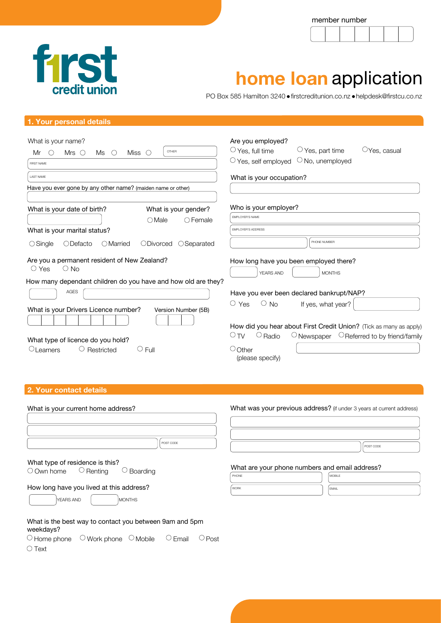member number



# **home loan** application

PO Box 585 Hamilton 3240 · firstcreditunion.co.nz · helpdesk@firstcu.co.nz

# **1. Your personal details**

| What is your name?                                                                                                                                                                                                                                                                                                                                 | Are you employed?                                                                                                                                                                                                                                                                                                                                                          |
|----------------------------------------------------------------------------------------------------------------------------------------------------------------------------------------------------------------------------------------------------------------------------------------------------------------------------------------------------|----------------------------------------------------------------------------------------------------------------------------------------------------------------------------------------------------------------------------------------------------------------------------------------------------------------------------------------------------------------------------|
| OTHER<br>Miss $\bigcirc$<br>Mr<br>Mrs $\bigcirc$<br>Ms<br>$\bigcirc$<br>$\circ$                                                                                                                                                                                                                                                                    | $\bigcirc$ Yes, full time<br>$\circ$ Yes, part time<br>$\vee$ Yes, casual                                                                                                                                                                                                                                                                                                  |
| <b>FIRST NAME</b>                                                                                                                                                                                                                                                                                                                                  | $\circ$ Yes, self employed<br>$\circ$ No, unemployed                                                                                                                                                                                                                                                                                                                       |
| LAST NAME                                                                                                                                                                                                                                                                                                                                          | What is your occupation?                                                                                                                                                                                                                                                                                                                                                   |
| Have you ever gone by any other name? (maiden name or other)                                                                                                                                                                                                                                                                                       |                                                                                                                                                                                                                                                                                                                                                                            |
| What is your date of birth?<br>What is your gender?<br>$\bigcirc$ Male<br>$\bigcirc$ Female                                                                                                                                                                                                                                                        | Who is your employer?<br><b>EMPLOYER'S NAME</b>                                                                                                                                                                                                                                                                                                                            |
| What is your marital status?                                                                                                                                                                                                                                                                                                                       | <b>EMPLOYER'S ADDRESS</b>                                                                                                                                                                                                                                                                                                                                                  |
| ODefacto<br>$\bigcirc$ Married<br>$\bigcirc$ Separated<br>$\bigcirc$ Single<br><b>ODivorced</b>                                                                                                                                                                                                                                                    | PHONE NUMBER                                                                                                                                                                                                                                                                                                                                                               |
| Are you a permanent resident of New Zealand?<br>$\bigcirc$ No<br>$\circ$ Yes<br>How many dependant children do you have and how old are they?<br><b>AGES</b><br>What is your Drivers Licence number?<br>Version Number (5B)<br>What type of licence do you hold?<br>$\circlearrowright$ Learners<br>$\circlearrowright$ Restricted<br>$\circ$ Full | How long have you been employed there?<br><b>MONTHS</b><br><b>YEARS AND</b><br>Have you ever been declared bankrupt/NAP?<br>$\circ$ No<br>$\circ$ Yes<br>If yes, what year?<br>How did you hear about First Credit Union? (Tick as many as apply)<br>$\circ$ Radio<br>$\circ_{\text{TV}}$<br>$\circ$ Newspaper<br>$\bigcirc$ Referred to by friend/family<br>$\circ$ Other |
|                                                                                                                                                                                                                                                                                                                                                    | (please specify)                                                                                                                                                                                                                                                                                                                                                           |
| 2. Your contact details                                                                                                                                                                                                                                                                                                                            |                                                                                                                                                                                                                                                                                                                                                                            |

**PHONE** WORK

| What is your current home address?                                  |                 |           |
|---------------------------------------------------------------------|-----------------|-----------|
|                                                                     |                 |           |
|                                                                     |                 |           |
|                                                                     |                 | POST CODE |
| What type of residence is this?<br>$\circ$ Own home $\circ$ Renting | $\cup$ Boarding |           |

How long have you lived at this address?

YEARS AND MONTHS

What is the best way to contact you between 9am and 5pm weekdays?  $\circlearrowright$  Home phone  $\circlearrowright$  Work phone  $\circlearrowright$  Mobile  $\circlearrowright$  Email  $\circlearrowright$  Post  $\bigcirc$  Text

What was your previous address? (if under 3 years at current address)

| POST CODE |
|-----------|

### What are your phone numbers and email address?

| MOBILE       |
|--------------|
| <b>EMAIL</b> |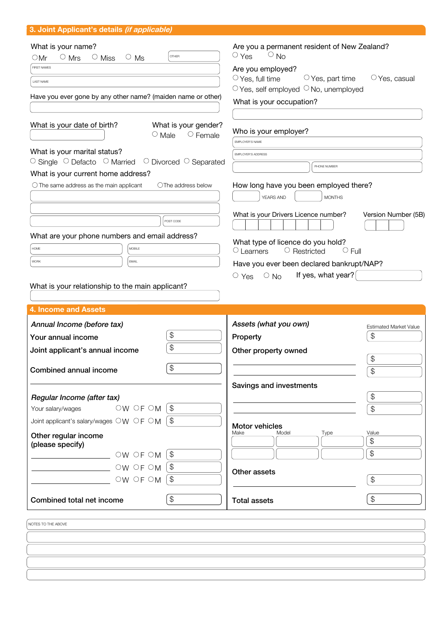| 3. Joint Applicant's details (if applicable)                                                                                                                                                                                                                                                                                                                                                                                                                                                                                                                                                              |                                                                              |                                                                                                                                                                                                                                                                                                                                                                                                                                                                                                                                                                                                                                                        |                                                                         |
|-----------------------------------------------------------------------------------------------------------------------------------------------------------------------------------------------------------------------------------------------------------------------------------------------------------------------------------------------------------------------------------------------------------------------------------------------------------------------------------------------------------------------------------------------------------------------------------------------------------|------------------------------------------------------------------------------|--------------------------------------------------------------------------------------------------------------------------------------------------------------------------------------------------------------------------------------------------------------------------------------------------------------------------------------------------------------------------------------------------------------------------------------------------------------------------------------------------------------------------------------------------------------------------------------------------------------------------------------------------------|-------------------------------------------------------------------------|
| What is your name?<br>$\circ$ Mrs $\circ$ Miss $\circ$ Ms<br>$\bigcirc$ Mr<br><b>FIRST NAMES</b><br>LAST NAME<br>Have you ever gone by any other name? (maiden name or other)<br>What is your date of birth?<br>$\circ$ Male<br>What is your marital status?<br>$\circ$ Single $\circ$ Defacto $\circ$ Married $\circ$ Divorced $\circ$ Separated<br>What is your current home address?<br>$\bigcirc$ The same address as the main applicant<br>POST CODE<br>What are your phone numbers and email address?<br>HOME<br>MOBILE<br><b>WORK</b><br>EMAIL<br>What is your relationship to the main applicant? | <b>OTHER</b><br>What is your gender?<br>$\circ$ Female<br>OThe address below | Are you a permanent resident of New Zealand?<br>$\circ$ No<br>$\circ$ Yes<br>Are you employed?<br>$\circ$ Yes, part time<br>$\circ$ Yes, full time<br>$\circ$ Yes, self employed $\circ$ No, unemployed<br>What is your occupation?<br>Who is your employer?<br><b>EMPLOYER'S NAME</b><br><b>EMPLOYER'S ADDRESS</b><br>PHONE NUMBER<br>How long have you been employed there?<br><b>YEARS AND</b><br><b>MONTHS</b><br>What is your Drivers Licence number?<br>What type of licence do you hold?<br>$\circ$ Restricted<br>$\circ$ Learners<br>$\circ$ Full<br>Have you ever been declared bankrupt/NAP?<br>If yes, what year?<br>$\circ$ Yes $\circ$ No | $\circ$ Yes, casual<br>Version Number (5B)                              |
|                                                                                                                                                                                                                                                                                                                                                                                                                                                                                                                                                                                                           |                                                                              |                                                                                                                                                                                                                                                                                                                                                                                                                                                                                                                                                                                                                                                        |                                                                         |
| 4. Income and Assets                                                                                                                                                                                                                                                                                                                                                                                                                                                                                                                                                                                      |                                                                              |                                                                                                                                                                                                                                                                                                                                                                                                                                                                                                                                                                                                                                                        |                                                                         |
| Annual Income (before tax)<br>\$<br>Your annual income<br>\$<br>Joint applicant's annual income<br>\$<br><b>Combined annual income</b>                                                                                                                                                                                                                                                                                                                                                                                                                                                                    |                                                                              | Assets (what you own)<br>Property<br>Other property owned                                                                                                                                                                                                                                                                                                                                                                                                                                                                                                                                                                                              | <b>Estimated Market Value</b><br>\$<br>$\boldsymbol{\mathsf{\$}}$<br>\$ |
| Regular Income (after tax)<br>$OW OF OM$   \$<br>Your salary/wages                                                                                                                                                                                                                                                                                                                                                                                                                                                                                                                                        |                                                                              | Savings and investments                                                                                                                                                                                                                                                                                                                                                                                                                                                                                                                                                                                                                                | $\$$<br>$\mathcal{S}$                                                   |
| Joint applicant's salary/wages $\bigcirc$ W $\bigcirc$ F $\bigcirc$ M<br>Other regular income<br>(please specify)                                                                                                                                                                                                                                                                                                                                                                                                                                                                                         |                                                                              | <b>Motor vehicles</b><br>Make<br>Model<br>Type                                                                                                                                                                                                                                                                                                                                                                                                                                                                                                                                                                                                         | Value<br>$\boldsymbol{\mathsf{\$}}$                                     |
| \$<br>OW OF OM<br>$OW$ $OF$ $OM$<br>\$<br>$OW$ OF OM                                                                                                                                                                                                                                                                                                                                                                                                                                                                                                                                                      |                                                                              | Other assets                                                                                                                                                                                                                                                                                                                                                                                                                                                                                                                                                                                                                                           | $\mathcal{L}$<br>\$                                                     |
| $\boldsymbol{\mathsf{\$}}$<br>Combined total net income                                                                                                                                                                                                                                                                                                                                                                                                                                                                                                                                                   |                                                                              | <b>Total assets</b>                                                                                                                                                                                                                                                                                                                                                                                                                                                                                                                                                                                                                                    | $$\mathbb{S}$$                                                          |

| NOTES TO THE ABOVE |  |
|--------------------|--|
|                    |  |
|                    |  |
|                    |  |
|                    |  |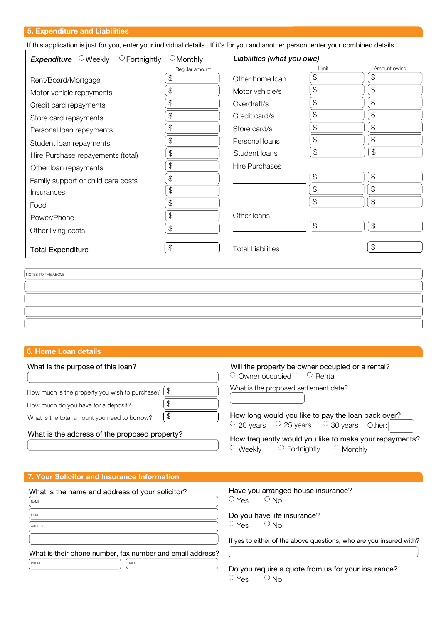If this application is just for you, enter your individual details. If it's for you and another person, enter your combined details.

| $\circ$ Fortnightly<br>$\cup$ Weekly<br><b>Expenditure</b> | $^\circlearrowright$ Monthly | Liabilities (what you owe) |                |               |
|------------------------------------------------------------|------------------------------|----------------------------|----------------|---------------|
|                                                            | Regular amount               |                            | Limit          | Amount owing  |
| Rent/Board/Mortgage                                        | \$                           | Other home loan            | \$             | \$            |
| Motor vehicle repayments                                   | $\$\$                        | Motor vehicle/s            | \$             | \$            |
| Credit card repayments                                     | $\$\$                        | Overdraft/s                | \$             | \$            |
| Store card repayments                                      | \$                           | Credit card/s              | \$             | \$            |
| Personal loan repayments                                   | \$                           | Store card/s               | \$             | \$            |
| Student loan repayments                                    | $\$\$                        | Personal loans             | \$             | \$            |
| Hire Purchase repayements (total)                          | \$                           | Student loans              | $\mathfrak{P}$ | $\mathcal{L}$ |
| Other loan repayments                                      | $\boldsymbol{\mathcal{L}}$   | <b>Hire Purchases</b>      |                |               |
| Family support or child care costs                         | $\$\$                        |                            | \$             | \$            |
| Insurances                                                 | \$                           |                            | $\mathcal{L}$  | \$            |
| Food                                                       | \$                           |                            | \$             | $\mathcal{S}$ |
| Power/Phone                                                | $\$\$                        | Other Ioans                |                |               |
| Other living costs                                         | $\mathcal{L}$                |                            | $\$\$          | $\$\$         |
| <b>Total Expenditure</b>                                   | $\boldsymbol{\mathsf{\$}}$   | <b>Total Liabilities</b>   |                | \$            |

NOTES TO THE ABOVE

**6. Home Loan details**

| What is the purpose of this loan? |
|-----------------------------------|
|                                   |

| How much is the property you wish to purchase? $\mid$ $\$\,$ |    |
|--------------------------------------------------------------|----|
|                                                              |    |
| How much do you have for a deposit?                          | \$ |
|                                                              |    |
| What is the total amount you need to borrow?                 | \$ |
|                                                              |    |
|                                                              |    |

Will the property be owner occupied or a rental?  $\circ$  Owner occupied  $\circ$  Rental

What is the proposed settlement date?

How long would you like to pay the loan back over?  $\circ$  20 years  $\circ$  25 years  $\circ$  30 years Other:

What is the address of the proposed property?<br>
How frequently would you like to make your repayments?  $\circ$  Weekly  $\circ$  Fortnightly  $\circ$  Monthly

## **7. Your Solicitor and Insurance Information**

|                | What is the name and address of your solicitor?           |
|----------------|-----------------------------------------------------------|
| NAME           |                                                           |
| <b>FIRM</b>    |                                                           |
| <b>ADDRESS</b> |                                                           |
|                |                                                           |
|                | What is their phone number, fax number and email address? |
| PHONE          | <b>EMAIL</b>                                              |

Have you arranged house insurance?  $O_{\text{Yes}}$   $O_{\text{No}}$ 

Do you have life insurance?  $\circ$  Yes  $\circ$  No

If yes to either of the above questions, who are you insured with?

Do you require a quote from us for your insurance?  $O$  Yes  $O$  No